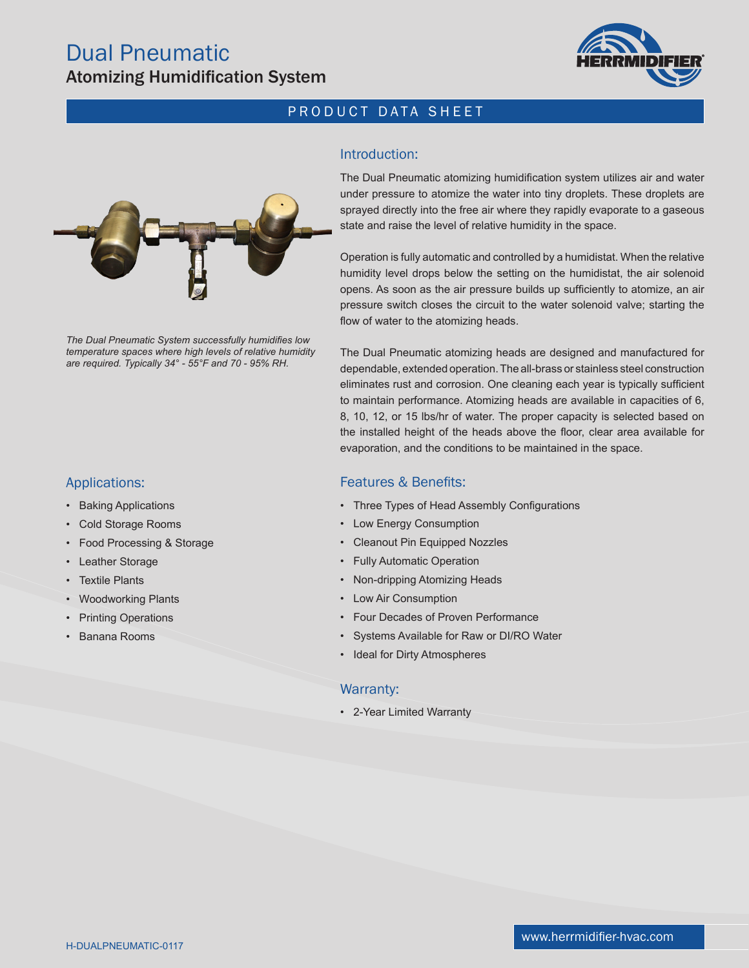

# PRODUCT DATA SHEET

## Introduction:



*The Dual Pneumatic System successfully humidifies low temperature spaces where high levels of relative humidity are required. Typically 34° - 55°F and 70 - 95% RH.*

## Applications:

- Baking Applications
- Cold Storage Rooms
- Food Processing & Storage
- Leather Storage
- **Textile Plants**
- Woodworking Plants
- **Printing Operations**
- Banana Rooms

The Dual Pneumatic atomizing humidification system utilizes air and water under pressure to atomize the water into tiny droplets. These droplets are sprayed directly into the free air where they rapidly evaporate to a gaseous state and raise the level of relative humidity in the space.

Operation is fully automatic and controlled by a humidistat. When the relative humidity level drops below the setting on the humidistat, the air solenoid opens. As soon as the air pressure builds up sufficiently to atomize, an air pressure switch closes the circuit to the water solenoid valve; starting the flow of water to the atomizing heads.

The Dual Pneumatic atomizing heads are designed and manufactured for dependable, extended operation. The all-brass or stainless steel construction eliminates rust and corrosion. One cleaning each year is typically sufficient to maintain performance. Atomizing heads are available in capacities of 6, 8, 10, 12, or 15 lbs/hr of water. The proper capacity is selected based on the installed height of the heads above the floor, clear area available for evaporation, and the conditions to be maintained in the space.

#### Features & Benefits:

- Three Types of Head Assembly Configurations
- Low Energy Consumption
- Cleanout Pin Equipped Nozzles
- Fully Automatic Operation
- Non-dripping Atomizing Heads
- Low Air Consumption
- Four Decades of Proven Performance
- Systems Available for Raw or DI/RO Water
- Ideal for Dirty Atmospheres

#### Warranty:

• 2-Year Limited Warranty